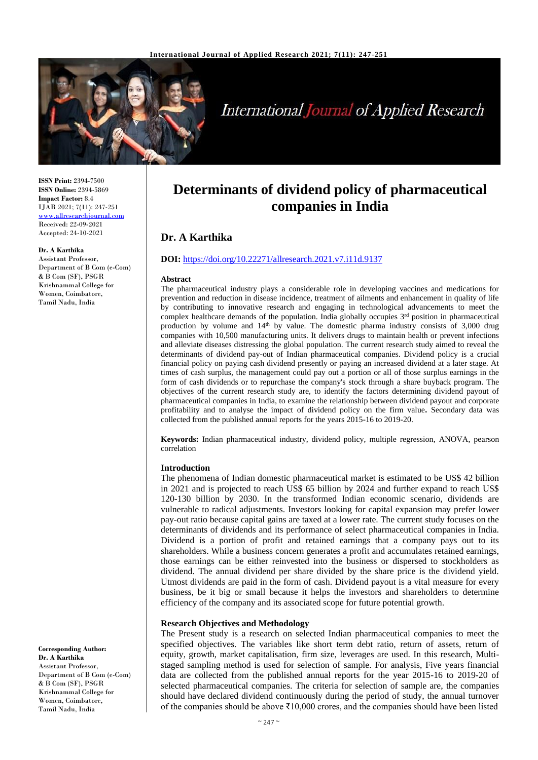

# **International Journal of Applied Research**

**ISSN Print:** 2394-7500 **ISSN Online:** 2394-5869 **Impact Factor:** 8.4 IJAR 2021; 7(11): 247-251 <www.allresearchjournal.com> Received: 22-09-2021 Accepted: 24-10-2021

#### **Dr. A Karthika**

Assistant Professor, Department of B Com (e-Com) & B Com (SF), PSGR Krishnammal College for Women, Coimbatore, Tamil Nadu, India

**Corresponding Author: Dr. A Karthika** Assistant Professor, Department of B Com (e-Com) & B Com (SF), PSGR Krishnammal College for Women, Coimbatore,

Tamil Nadu, India

# **Determinants of dividend policy of pharmaceutical companies in India**

# **Dr. A Karthika**

#### **DOI:** <https://doi.org/10.22271/allresearch.2021.v7.i11d.9137>

#### **Abstract**

The pharmaceutical industry plays a considerable role in developing vaccines and medications for prevention and reduction in disease incidence, treatment of ailments and enhancement in quality of life by contributing to innovative research and engaging in technological advancements to meet the complex healthcare demands of the population. India globally occupies  $3<sup>rd</sup>$  position in pharmaceutical production by volume and 14<sup>th</sup> by value. The domestic pharma industry consists of 3,000 drug companies with 10,500 manufacturing units. It delivers drugs to maintain health or prevent infections and alleviate diseases distressing the global population. The current research study aimed to reveal the determinants of dividend pay-out of Indian pharmaceutical companies. Dividend policy is a crucial financial policy on paying cash dividend presently or paying an increased dividend at a later stage. At times of cash surplus, the management could pay out a portion or all of those surplus earnings in the form of cash dividends or to repurchase the company's stock through a share buyback program. The objectives of the current research study are, to identify the factors determining dividend payout of pharmaceutical companies in India, to examine the relationship between dividend payout and corporate profitability and to analyse the impact of dividend policy on the firm value**.** Secondary data was collected from the published annual reports for the years 2015-16 to 2019-20.

**Keywords:** Indian pharmaceutical industry, dividend policy, multiple regression, ANOVA, pearson correlation

#### **Introduction**

The phenomena of Indian domestic pharmaceutical market is estimated to be US\$ 42 billion in 2021 and is projected to reach US\$ 65 billion by 2024 and further expand to reach US\$ 120-130 billion by 2030. In the transformed Indian economic scenario, dividends are vulnerable to radical adjustments. Investors looking for capital expansion may prefer lower pay-out ratio because capital gains are taxed at a lower rate. The current study focuses on the determinants of dividends and its performance of select pharmaceutical companies in India. Dividend is a portion of profit and retained earnings that a company pays out to its shareholders. While a business concern generates a profit and accumulates retained earnings, those earnings can be either reinvested into the business or dispersed to stockholders as dividend. The annual dividend per share divided by the share price is the dividend yield. Utmost dividends are paid in the form of cash. Dividend payout is a vital measure for every business, be it big or small because it helps the investors and shareholders to determine efficiency of the company and its associated scope for future potential growth.

#### **Research Objectives and Methodology**

The Present study is a research on selected Indian pharmaceutical companies to meet the specified objectives. The variables like short term debt ratio, return of assets, return of equity, growth, market capitalisation, firm size, leverages are used. In this research, Multistaged sampling method is used for selection of sample. For analysis, Five years financial data are collected from the published annual reports for the year 2015-16 to 2019-20 of selected pharmaceutical companies. The criteria for selection of sample are, the companies should have declared dividend continuously during the period of study, the annual turnover of the companies should be above ₹10,000 crores, and the companies should have been listed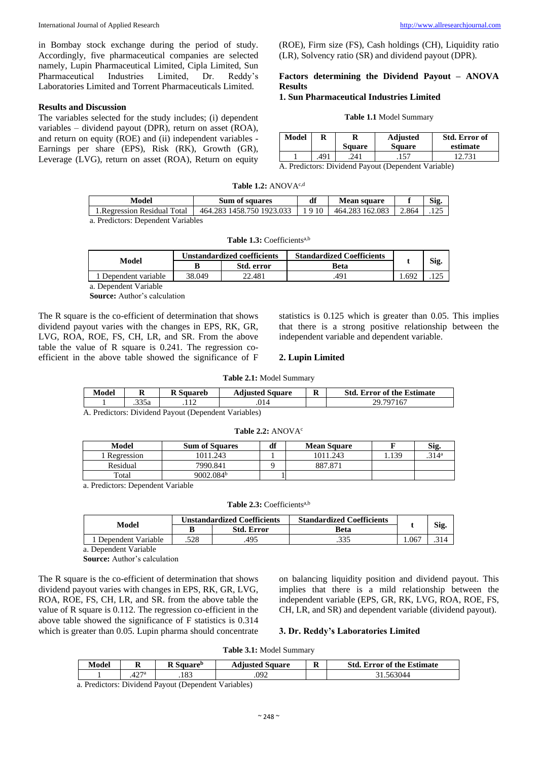in Bombay stock exchange during the period of study. Accordingly, five pharmaceutical companies are selected namely, Lupin Pharmaceutical Limited, Cipla Limited, Sun Pharmaceutical Industries Limited, Dr. Reddy's Laboratories Limited and Torrent Pharmaceuticals Limited.

#### **Results and Discussion**

The variables selected for the study includes; (i) dependent variables – dividend payout (DPR), return on asset (ROA), and return on equity (ROE) and (ii) independent variables - Earnings per share (EPS), Risk (RK), Growth (GR), Leverage (LVG), return on asset (ROA), Return on equity

(ROE), Firm size (FS), Cash holdings (CH), Liquidity ratio (LR), Solvency ratio (SR) and dividend payout (DPR).

## **Factors determining the Dividend Payout – ANOVA Results**

# **1. Sun Pharmaceutical Industries Limited**

#### **Table 1.1** Model Summary

| Model | R   | Square | <b>Adjusted</b><br>Square | <b>Std. Error of</b><br>estimate |
|-------|-----|--------|---------------------------|----------------------------------|
|       | 491 | 241    | .157                      |                                  |

A. Predictors: Dividend Payout (Dependent Variable)

| <b>Table 1.2:</b> ANOV $A^{c,d}$ |  |  |  |
|----------------------------------|--|--|--|
|----------------------------------|--|--|--|

| Model                           | Sum of squares            | df   | <b>Mean square</b> |       | Sig |
|---------------------------------|---------------------------|------|--------------------|-------|-----|
| 1.Regression Residual Total     | 464.283 1458.750 1923.033 | 9 10 | 464.283 162.083    | 2.864 | 125 |
| Prodictore: Dependent Verjables |                           |      |                    |       |     |

| -------                            | ------------------                                           | --------------- | ---- |
|------------------------------------|--------------------------------------------------------------|-----------------|------|
| 1. Regression Residual Total       | 464.283 1458.750 1923.033   1 9 10   464.283 162.083   2.864 |                 | .125 |
| a. Predictors: Dependent Variables |                                                              |                 |      |

Table 1.3: Coefficients<sup>a,b</sup>

| Model              | Unstandardized coefficients |            | <b>Standardized Coefficients</b> |      |      |
|--------------------|-----------------------------|------------|----------------------------------|------|------|
|                    | B                           | Std. error | Beta                             |      | Sig. |
| Dependent variable | 38.049                      | 22.481     | .491                             | .692 |      |
| ___ _ _<br>$\sim$  |                             |            |                                  |      |      |

a. Dependent Variable

**Source:** Author's calculation

The R square is the co-efficient of determination that shows dividend payout varies with the changes in EPS, RK, GR, LVG, ROA, ROE, FS, CH, LR, and SR. From the above table the value of R square is 0.241. The regression coefficient in the above table showed the significance of F statistics is 0.125 which is greater than 0.05. This implies that there is a strong positive relationship between the independent variable and dependent variable.

#### **2. Lupin Limited**

| Model | A            | - 2<br>sauareh | Square<br>Adusted | D<br>A | Std.<br>Error of the Estimate |
|-------|--------------|----------------|-------------------|--------|-------------------------------|
|       | 225<br>.335a |                | .014              |        | טר                            |

A. Predictors: Dividend Payout (Dependent Variables)

#### Table 2.2: ANOVA<sup>c</sup>

| Model      | <b>Sum of Squares</b> | df | <b>Mean Square</b> |       | Sig.              |
|------------|-----------------------|----|--------------------|-------|-------------------|
| Regression | 1011.243              |    | 1011.243           | . 139 | .314 <sup>a</sup> |
| Residual   | 7990.841              |    | 887.87             |       |                   |
| Total      | 9002.084 <sup>b</sup> |    |                    |       |                   |

a. Predictors: Dependent Variable

Table 2.3: Coefficients<sup>a,b</sup>

|                    |      | <b>Unstandardized Coefficients</b> | <b>Standardized Coefficients</b> |       |      |
|--------------------|------|------------------------------------|----------------------------------|-------|------|
| Model              |      | <b>Std. Error</b>                  | Beta                             |       | Sig. |
| Dependent Variable | .528 | 495                                | າາເ                              | 0.067 | .314 |

a. Dependent Variable

**Source:** Author's calculation

The R square is the co-efficient of determination that shows dividend payout varies with changes in EPS, RK, GR, LVG, ROA, ROE, FS, CH, LR, and SR. from the above table the value of R square is 0.112. The regression co-efficient in the above table showed the significance of F statistics is 0.314 which is greater than 0.05. Lupin pharma should concentrate

on balancing liquidity position and dividend payout. This implies that there is a mild relationship between the independent variable (EPS, GR, RK, LVG, ROA, ROE, FS, CH, LR, and SR) and dependent variable (dividend payout).

#### **3. Dr. Reddy's Laboratories Limited**

**Table 3.1:** Model Summary

| 27a<br>63044<br>0 <sup>2</sup><br>ה ה | Model | м    | $\mathbf{r}$<br>-square" | Square<br>tuusted | $\blacksquare$<br>ĸ | <b>Std. Error of the Estimate</b> |
|---------------------------------------|-------|------|--------------------------|-------------------|---------------------|-----------------------------------|
|                                       |       | 42 i | .102                     | .092              |                     |                                   |

a. Predictors: Dividend Payout (Dependent Variables)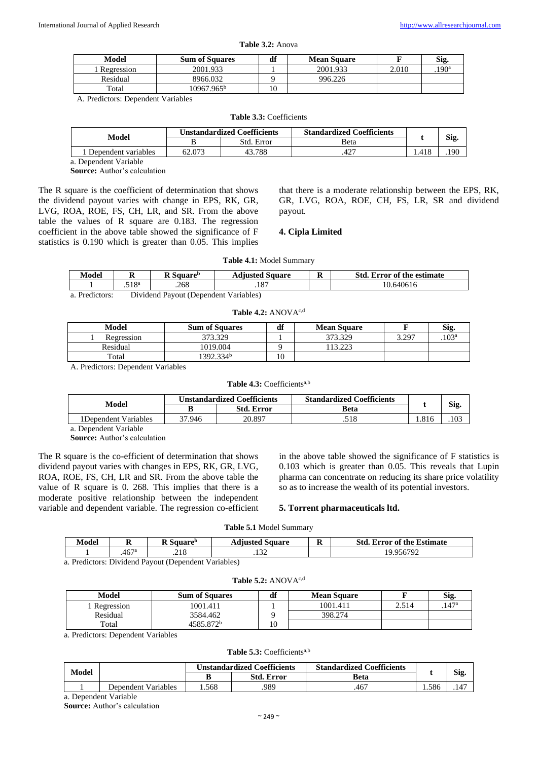| Table 3.2: Anova |  |
|------------------|--|
|------------------|--|

| Model                | <b>Sum of Squares</b>  | df | <b>Mean Square</b> |       | Sig.          |
|----------------------|------------------------|----|--------------------|-------|---------------|
| Regression           | 2001.933               |    | 2001.933           | 2.010 | $190^{\rm a}$ |
| Residual             | 8966.032               |    | 996.226            |       |               |
| $\tau_{\text{otal}}$ | 10967.965 <sup>b</sup> | 10 |                    |       |               |

A. Predictors: Dependent Variables

|  |  | <b>Table 3.3: Coefficients</b> |
|--|--|--------------------------------|
|--|--|--------------------------------|

| Model               |        | <b>Unstandardized Coefficients</b> | <b>Standardized Coefficients</b> |            |
|---------------------|--------|------------------------------------|----------------------------------|------------|
|                     |        | Std. Error                         | Beta                             | <b>Sig</b> |
| Dependent variables | 52.073 | .788                               | .427                             | .190       |

a. Dependent Variable

**Source:** Author's calculation

The R square is the coefficient of determination that shows the dividend payout varies with change in EPS, RK, GR, LVG, ROA, ROE, FS, CH, LR, and SR. From the above table the values of R square are 0.183. The regression coefficient in the above table showed the significance of F statistics is 0.190 which is greater than 0.05. This implies

that there is a moderate relationship between the EPS, RK, GR, LVG, ROA, ROE, CH, FS, LR, SR and dividend payout.

#### **4. Cipla Limited**

| Model          |                                       | R Square <sup>b</sup> | <b>Adjusted Square</b> |  | <b>Std. Error of the estimate</b> |  |  |
|----------------|---------------------------------------|-----------------------|------------------------|--|-----------------------------------|--|--|
|                | 518ª                                  | .268                  |                        |  | 10.640616                         |  |  |
| a. Predictors: | Dividend Payout (Dependent Variables) |                       |                        |  |                                   |  |  |

**Table 4.1:** Model Summary

#### Table 4.2: ANOVA<sup>c,d</sup>

| Model      | <b>Sum of Squares</b> | df | <b>Mean Square</b> |       | Sig               |
|------------|-----------------------|----|--------------------|-------|-------------------|
| Regression | 373.329               |    | 373.329            | 3.297 | .103 <sup>a</sup> |
| Residual   | 1019.004              |    | 13.22              |       |                   |
| Total      | 1392.334 <sup>b</sup> | 10 |                    |       |                   |

A. Predictors: Dependent Variables

#### Table 4.3: Coefficients<sup>a,b</sup>

| Model                 |        | <b>Unstandardized Coefficients</b> | <b>Standardized Coefficients</b> |      |      |
|-----------------------|--------|------------------------------------|----------------------------------|------|------|
|                       |        | <b>Std. Error</b>                  | Beta                             |      | Sig. |
| l Dependent Variables | 37.946 | 20.897                             | .518                             | .816 | 103  |

a. Dependent Variable

**Source:** Author's calculation

The R square is the co-efficient of determination that shows dividend payout varies with changes in EPS, RK, GR, LVG, ROA, ROE, FS, CH, LR and SR. From the above table the value of R square is 0. 268. This implies that there is a moderate positive relationship between the independent variable and dependent variable. The regression co-efficient

in the above table showed the significance of F statistics is 0.103 which is greater than 0.05. This reveals that Lupin pharma can concentrate on reducing its share price volatility so as to increase the wealth of its potential investors.

#### **5. Torrent pharmaceuticals ltd.**

|  |  |  | <b>Table 5.1 Model Summary</b> |
|--|--|--|--------------------------------|
|--|--|--|--------------------------------|

| --<br>Model | R                | $\blacksquare$<br>→amare″<br>v | duusted<br>Square | $\mathbf{r}$<br>м | Std<br><b>Estimate</b><br>"rror of the |
|-------------|------------------|--------------------------------|-------------------|-------------------|----------------------------------------|
|             | 467 <sup>a</sup> | າ 1 ດ<br>.410                  | $\sim$<br>.       |                   | 956792<br>u                            |

**Table 5.2:** ANOVAc,d

a. Predictors: Dividend Payout (Dependent Variables)

| Model      | <b>Sum of Squares</b> | df | <b>Mean Square</b> |       | Sig.       |
|------------|-----------------------|----|--------------------|-------|------------|
| Regression | 1001.411              |    | 1001.411           | 2.514 | $.147^{s}$ |
| Residual   | 3584.462              |    | 398.274            |       |            |
| Total      | 4585.872 <sup>b</sup> |    |                    |       |            |

a. Predictors: Dependent Variables

## Table 5.3: Coefficients<sup>a,b</sup>

| <b>Std. Error</b><br>Beta | Model |                     |      | <b>Unstandardized Coefficients</b> | <b>Standardized Coefficients</b> |       |           |
|---------------------------|-------|---------------------|------|------------------------------------|----------------------------------|-------|-----------|
|                           |       |                     |      |                                    |                                  |       | Sig.      |
|                           |       | Dependent Variables | .568 | 989                                | .467                             | . 586 | $.14^{-}$ |

a. Dependent Variable **Source:** Author's calculation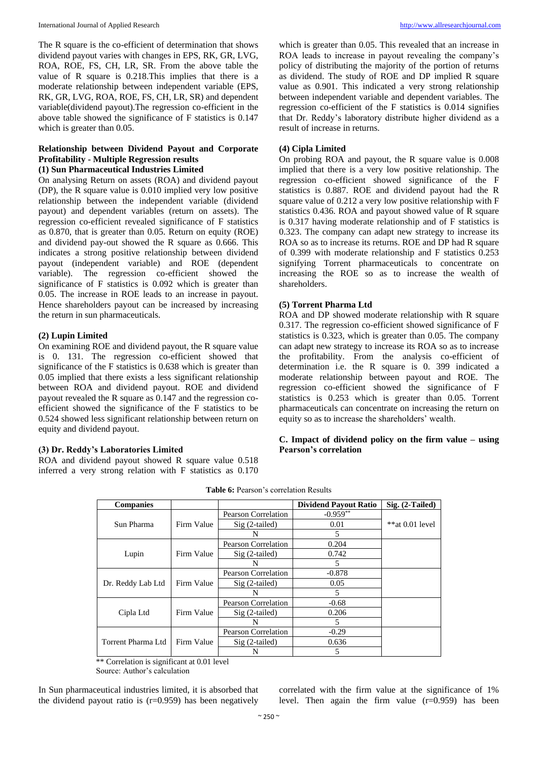The R square is the co-efficient of determination that shows dividend payout varies with changes in EPS, RK, GR, LVG, ROA, ROE, FS, CH, LR, SR. From the above table the value of R square is 0.218.This implies that there is a moderate relationship between independent variable (EPS, RK, GR, LVG, ROA, ROE, FS, CH, LR, SR) and dependent variable(dividend payout).The regression co-efficient in the above table showed the significance of F statistics is 0.147 which is greater than 0.05.

#### **Relationship between Dividend Payout and Corporate Profitability - Multiple Regression results (1) Sun Pharmaceutical Industries Limited**

On analysing Return on assets (ROA) and dividend payout (DP), the R square value is 0.010 implied very low positive relationship between the independent variable (dividend payout) and dependent variables (return on assets). The regression co-efficient revealed significance of F statistics as 0.870, that is greater than 0.05. Return on equity (ROE) and dividend pay-out showed the R square as 0.666. This indicates a strong positive relationship between dividend payout (independent variable) and ROE (dependent variable). The regression co-efficient showed the significance of F statistics is 0.092 which is greater than 0.05. The increase in ROE leads to an increase in payout. Hence shareholders payout can be increased by increasing the return in sun pharmaceuticals.

#### **(2) Lupin Limited**

On examining ROE and dividend payout, the R square value is 0. 131. The regression co-efficient showed that significance of the F statistics is 0.638 which is greater than 0.05 implied that there exists a less significant relationship between ROA and dividend payout. ROE and dividend payout revealed the R square as 0.147 and the regression coefficient showed the significance of the F statistics to be 0.524 showed less significant relationship between return on equity and dividend payout.

# **(3) Dr. Reddy's Laboratories Limited**

ROA and dividend payout showed R square value 0.518 inferred a very strong relation with F statistics as 0.170

which is greater than 0.05. This revealed that an increase in ROA leads to increase in payout revealing the company's policy of distributing the majority of the portion of returns as dividend. The study of ROE and DP implied R square value as 0.901. This indicated a very strong relationship between independent variable and dependent variables. The regression co-efficient of the F statistics is 0.014 signifies that Dr. Reddy's laboratory distribute higher dividend as a result of increase in returns.

## **(4) Cipla Limited**

On probing ROA and payout, the R square value is 0.008 implied that there is a very low positive relationship. The regression co-efficient showed significance of the F statistics is 0.887. ROE and dividend payout had the R square value of 0.212 a very low positive relationship with F statistics 0.436. ROA and payout showed value of R square is 0.317 having moderate relationship and of F statistics is 0.323. The company can adapt new strategy to increase its ROA so as to increase its returns. ROE and DP had R square of 0.399 with moderate relationship and F statistics 0.253 signifying Torrent pharmaceuticals to concentrate on increasing the ROE so as to increase the wealth of shareholders.

## **(5) Torrent Pharma Ltd**

ROA and DP showed moderate relationship with R square 0.317. The regression co-efficient showed significance of F statistics is 0.323, which is greater than 0.05. The company can adapt new strategy to increase its ROA so as to increase the profitability. From the analysis co-efficient of determination i.e. the R square is 0. 399 indicated a moderate relationship between payout and ROE. The regression co-efficient showed the significance of F statistics is 0.253 which is greater than 0.05. Torrent pharmaceuticals can concentrate on increasing the return on equity so as to increase the shareholders' wealth.

#### **C. Impact of dividend policy on the firm value – using Pearson's correlation**

| <b>Companies</b>   |            |                            | <b>Dividend Payout Ratio</b> | $Sig. (2-Tailed)$ |
|--------------------|------------|----------------------------|------------------------------|-------------------|
|                    |            | <b>Pearson Correlation</b> | $-0.959**$                   |                   |
| Sun Pharma         | Firm Value | $Sig(2-tailed)$            | 0.01                         | $**at 0.01 level$ |
|                    |            | N                          | 5                            |                   |
|                    |            | <b>Pearson Correlation</b> | 0.204                        |                   |
| Lupin              | Firm Value | $Sig(2-tailed)$            | 0.742                        |                   |
|                    |            | N                          | 5                            |                   |
|                    |            | <b>Pearson Correlation</b> | $-0.878$                     |                   |
| Dr. Reddy Lab Ltd  | Firm Value | $Sig(2-tailed)$            | 0.05                         |                   |
|                    |            | N                          | 5                            |                   |
|                    |            | <b>Pearson Correlation</b> | $-0.68$                      |                   |
| Cipla Ltd          | Firm Value | $Sig(2-tailed)$            | 0.206                        |                   |
|                    |            | N                          | 5                            |                   |
|                    |            | Pearson Correlation        | $-0.29$                      |                   |
| Torrent Pharma Ltd | Firm Value | $Sig(2-tailed)$            | 0.636                        |                   |
|                    |            | N                          | 5                            |                   |

**Table 6:** Pearson's correlation Results

\*\* Correlation is significant at 0.01 level

Source: Author's calculation

In Sun pharmaceutical industries limited, it is absorbed that the dividend payout ratio is  $(r=0.959)$  has been negatively

correlated with the firm value at the significance of 1% level. Then again the firm value (r=0.959) has been